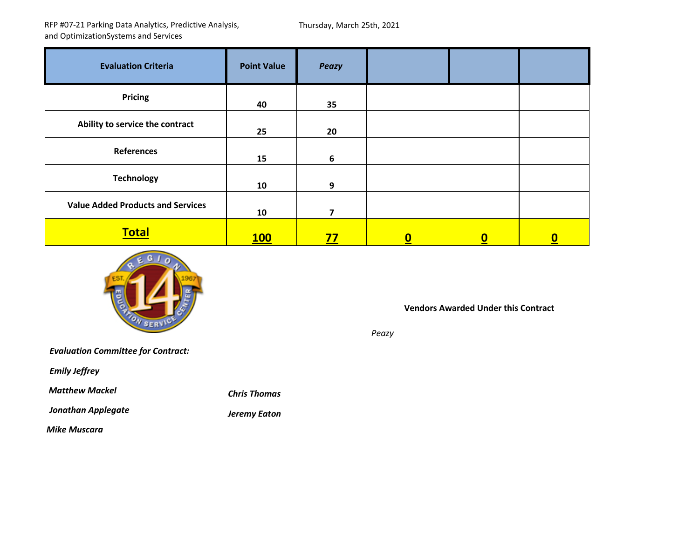RFP #07‐21 Parking Data Analytics, Predictive Analysis, and OptimizationSystems and Services

Thursday, March 25th, 2021

| <b>Evaluation Criteria</b>               | <b>Point Value</b> | <b>Peazy</b> |                         |                         |                  |
|------------------------------------------|--------------------|--------------|-------------------------|-------------------------|------------------|
| <b>Pricing</b>                           | 40                 | 35           |                         |                         |                  |
| Ability to service the contract          | 25                 | 20           |                         |                         |                  |
| <b>References</b>                        | 15                 | 6            |                         |                         |                  |
| <b>Technology</b>                        | 10                 | 9            |                         |                         |                  |
| <b>Value Added Products and Services</b> | 10                 | 7            |                         |                         |                  |
| <b>Total</b>                             | <b>100</b>         | <u>77</u>    | $\overline{\mathbf{0}}$ | $\overline{\mathbf{0}}$ | $\boldsymbol{0}$ |



**Vendors Awarded Under this Contract**

*Peazy*

*Evaluation Committee for Contract:*

*Emily Jeffrey*

*Matthew Mackel Chris*

*Jonathan*

*Applegate Jeremy Eaton*

*Thomas*

*Mike Muscara*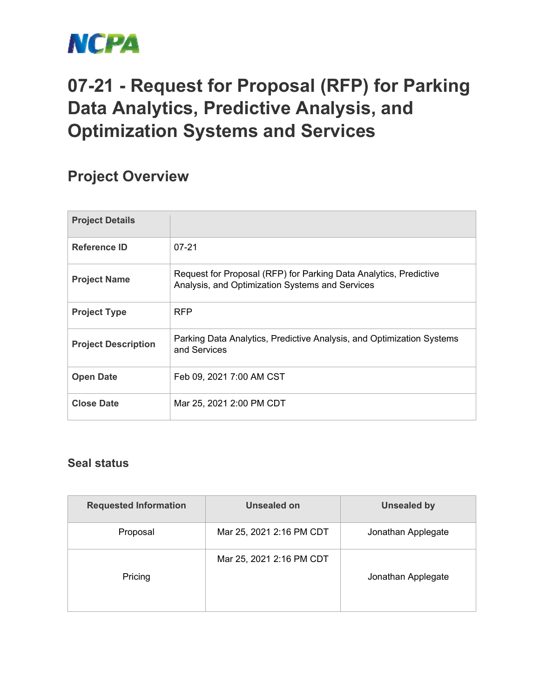

## **07-21 - Request for Proposal (RFP) for Parking Data Analytics, Predictive Analysis, and Optimization Systems and Services**

## **Project Overview**

| <b>Project Details</b>     |                                                                                                                      |
|----------------------------|----------------------------------------------------------------------------------------------------------------------|
| Reference ID               | $07 - 21$                                                                                                            |
| <b>Project Name</b>        | Request for Proposal (RFP) for Parking Data Analytics, Predictive<br>Analysis, and Optimization Systems and Services |
| <b>Project Type</b>        | <b>RFP</b>                                                                                                           |
| <b>Project Description</b> | Parking Data Analytics, Predictive Analysis, and Optimization Systems<br>and Services                                |
| <b>Open Date</b>           | Feb 09, 2021 7:00 AM CST                                                                                             |
| <b>Close Date</b>          | Mar 25, 2021 2:00 PM CDT                                                                                             |

## **Seal status**

| <b>Requested Information</b>        | Unsealed on              | <b>Unsealed by</b> |  |
|-------------------------------------|--------------------------|--------------------|--|
| Proposal                            | Mar 25, 2021 2:16 PM CDT | Jonathan Applegate |  |
| Mar 25, 2021 2:16 PM CDT<br>Pricing |                          | Jonathan Applegate |  |